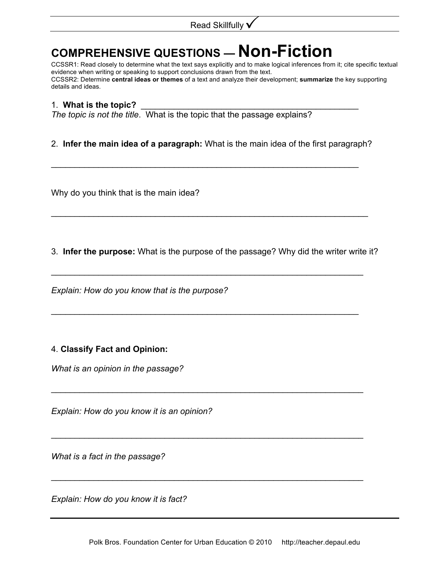## **COMPREHENSIVE QUESTIONS — Non-Fiction**

CCSSR1: Read closely to determine what the text says explicitly and to make logical inferences from it; cite specific textual evidence when writing or speaking to support conclusions drawn from the text. CCSSR2: Determine **central ideas or themes** of a text and analyze their development; **summarize** the key supporting details and ideas.

## 1. **What is the topic?** \_\_\_\_\_\_\_\_\_\_\_\_\_\_\_\_\_\_\_\_\_\_\_\_\_\_\_\_\_\_\_\_\_\_\_\_\_\_\_\_\_\_\_\_\_\_

*The topic is not the title*. What is the topic that the passage explains?

## 2. **Infer the main idea of a paragraph:** What is the main idea of the first paragraph?

\_\_\_\_\_\_\_\_\_\_\_\_\_\_\_\_\_\_\_\_\_\_\_\_\_\_\_\_\_\_\_\_\_\_\_\_\_\_\_\_\_\_\_\_\_\_\_\_\_\_\_\_\_\_\_\_\_\_\_\_\_\_\_\_\_

Why do you think that is the main idea?

3. **Infer the purpose:** What is the purpose of the passage? Why did the writer write it?

 $\mathcal{L}_\text{max}$  and  $\mathcal{L}_\text{max}$  and  $\mathcal{L}_\text{max}$  and  $\mathcal{L}_\text{max}$  and  $\mathcal{L}_\text{max}$  and  $\mathcal{L}_\text{max}$ 

 $\mathcal{L}_\text{max}$  and  $\mathcal{L}_\text{max}$  and  $\mathcal{L}_\text{max}$  and  $\mathcal{L}_\text{max}$  and  $\mathcal{L}_\text{max}$  and  $\mathcal{L}_\text{max}$ 

\_\_\_\_\_\_\_\_\_\_\_\_\_\_\_\_\_\_\_\_\_\_\_\_\_\_\_\_\_\_\_\_\_\_\_\_\_\_\_\_\_\_\_\_\_\_\_\_\_\_\_\_\_\_\_\_\_\_\_\_\_\_\_\_\_\_

 $\mathcal{L}_\text{max}$  and  $\mathcal{L}_\text{max}$  and  $\mathcal{L}_\text{max}$  and  $\mathcal{L}_\text{max}$  and  $\mathcal{L}_\text{max}$  and  $\mathcal{L}_\text{max}$ 

\_\_\_\_\_\_\_\_\_\_\_\_\_\_\_\_\_\_\_\_\_\_\_\_\_\_\_\_\_\_\_\_\_\_\_\_\_\_\_\_\_\_\_\_\_\_\_\_\_\_\_\_\_\_\_\_\_\_\_\_\_\_\_\_\_\_

 $\mathcal{L}_\text{max}$  and  $\mathcal{L}_\text{max}$  and  $\mathcal{L}_\text{max}$  and  $\mathcal{L}_\text{max}$  and  $\mathcal{L}_\text{max}$  and  $\mathcal{L}_\text{max}$ 

*Explain: How do you know that is the purpose?*

## 4. **Classify Fact and Opinion:**

*What is an opinion in the passage?*

*Explain: How do you know it is an opinion?*

*What is a fact in the passage?*

*Explain: How do you know it is fact?*